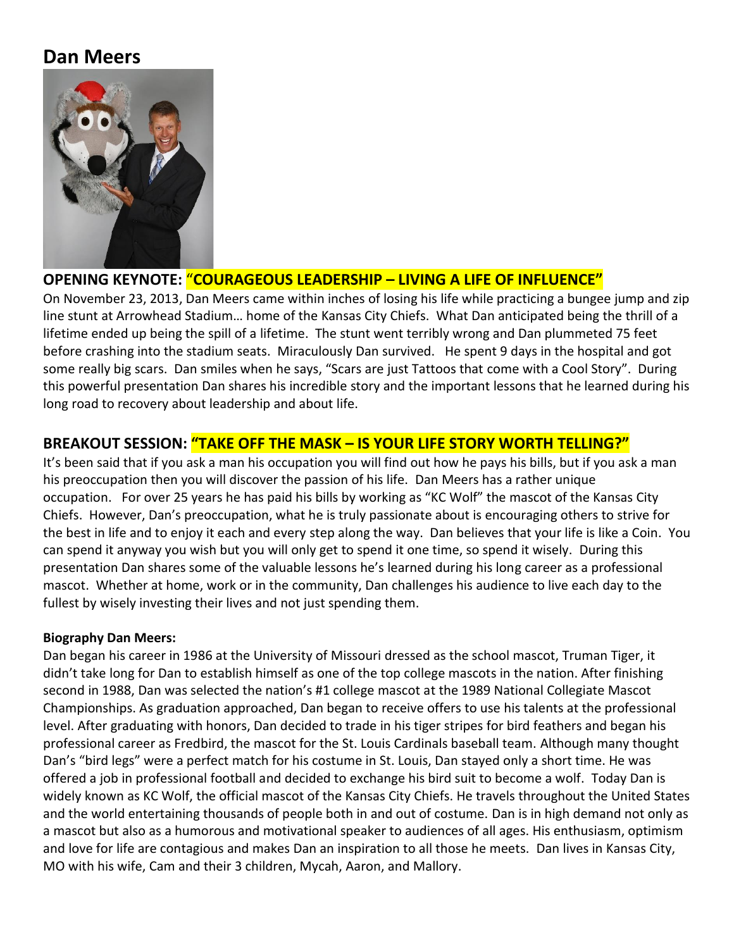# **Dan Meers**



# **OPENING KEYNOTE:** "**COURAGEOUS LEADERSHIP – LIVING A LIFE OF INFLUENCE"**

On November 23, 2013, Dan Meers came within inches of losing his life while practicing a bungee jump and zip line stunt at Arrowhead Stadium… home of the Kansas City Chiefs. What Dan anticipated being the thrill of a lifetime ended up being the spill of a lifetime. The stunt went terribly wrong and Dan plummeted 75 feet before crashing into the stadium seats. Miraculously Dan survived. He spent 9 days in the hospital and got some really big scars. Dan smiles when he says, "Scars are just Tattoos that come with a Cool Story". During this powerful presentation Dan shares his incredible story and the important lessons that he learned during his long road to recovery about leadership and about life.

# **BREAKOUT SESSION: "TAKE OFF THE MASK – IS YOUR LIFE STORY WORTH TELLING?"**

It's been said that if you ask a man his occupation you will find out how he pays his bills, but if you ask a man his preoccupation then you will discover the passion of his life. Dan Meers has a rather unique occupation. For over 25 years he has paid his bills by working as "KC Wolf" the mascot of the Kansas City Chiefs. However, Dan's preoccupation, what he is truly passionate about is encouraging others to strive for the best in life and to enjoy it each and every step along the way. Dan believes that your life is like a Coin. You can spend it anyway you wish but you will only get to spend it one time, so spend it wisely. During this presentation Dan shares some of the valuable lessons he's learned during his long career as a professional mascot. Whether at home, work or in the community, Dan challenges his audience to live each day to the fullest by wisely investing their lives and not just spending them.

### **Biography Dan Meers:**

Dan began his career in 1986 at the University of Missouri dressed as the school mascot, Truman Tiger, it didn't take long for Dan to establish himself as one of the top college mascots in the nation. After finishing second in 1988, Dan was selected the nation's #1 college mascot at the 1989 National Collegiate Mascot Championships. As graduation approached, Dan began to receive offers to use his talents at the professional level. After graduating with honors, Dan decided to trade in his tiger stripes for bird feathers and began his professional career as Fredbird, the mascot for the St. Louis Cardinals baseball team. Although many thought Dan's "bird legs" were a perfect match for his costume in St. Louis, Dan stayed only a short time. He was offered a job in professional football and decided to exchange his bird suit to become a wolf. Today Dan is widely known as KC Wolf, the official mascot of the Kansas City Chiefs. He travels throughout the United States and the world entertaining thousands of people both in and out of costume. Dan is in high demand not only as a mascot but also as a humorous and motivational speaker to audiences of all ages. His enthusiasm, optimism and love for life are contagious and makes Dan an inspiration to all those he meets. Dan lives in Kansas City, MO with his wife, Cam and their 3 children, Mycah, Aaron, and Mallory.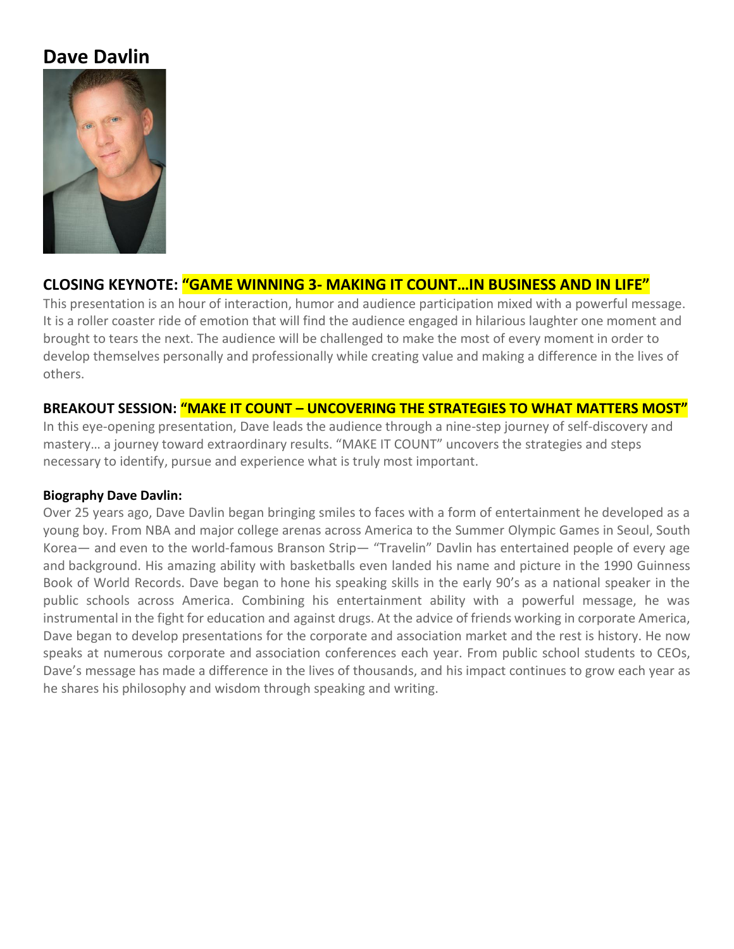# **Dave Davlin**



# **CLOSING KEYNOTE: "GAME WINNING 3- MAKING IT COUNT…IN BUSINESS AND IN LIFE"**

This presentation is an hour of interaction, humor and audience participation mixed with a powerful message. It is a roller coaster ride of emotion that will find the audience engaged in hilarious laughter one moment and brought to tears the next. The audience will be challenged to make the most of every moment in order to develop themselves personally and professionally while creating value and making a difference in the lives of others.

### **BREAKOUT SESSION: "MAKE IT COUNT – UNCOVERING THE STRATEGIES TO WHAT MATTERS MOST"**

In this eye-opening presentation, Dave leads the audience through a nine-step journey of self-discovery and mastery… a journey toward extraordinary results. "MAKE IT COUNT" uncovers the strategies and steps necessary to identify, pursue and experience what is truly most important.

### **Biography Dave Davlin:**

Over 25 years ago, Dave Davlin began bringing smiles to faces with a form of entertainment he developed as a young boy. From NBA and major college arenas across America to the Summer Olympic Games in Seoul, South Korea— and even to the world-famous Branson Strip— "Travelin" Davlin has entertained people of every age and background. His amazing ability with basketballs even landed his name and picture in the 1990 Guinness Book of World Records. Dave began to hone his speaking skills in the early 90's as a national speaker in the public schools across America. Combining his entertainment ability with a powerful message, he was instrumental in the fight for education and against drugs. At the advice of friends working in corporate America, Dave began to develop presentations for the corporate and association market and the rest is history. He now speaks at numerous corporate and association conferences each year. From public school students to CEOs, Dave's message has made a difference in the lives of thousands, and his impact continues to grow each year as he shares his philosophy and wisdom through speaking and writing.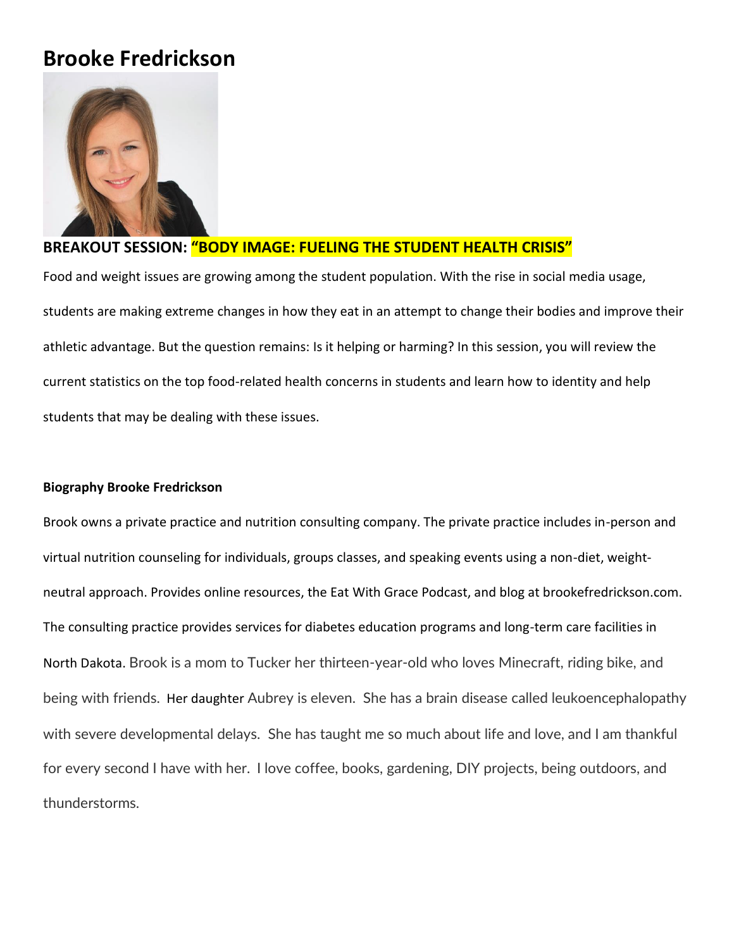# **Brooke Fredrickson**



## **BREAKOUT SESSION: "BODY IMAGE: FUELING THE STUDENT HEALTH CRISIS"**

Food and weight issues are growing among the student population. With the rise in social media usage, students are making extreme changes in how they eat in an attempt to change their bodies and improve their athletic advantage. But the question remains: Is it helping or harming? In this session, you will review the current statistics on the top food-related health concerns in students and learn how to identity and help students that may be dealing with these issues.

### **Biography Brooke Fredrickson**

Brook owns a private practice and nutrition consulting company. The private practice includes in-person and virtual nutrition counseling for individuals, groups classes, and speaking events using a non-diet, weightneutral approach. Provides online resources, the Eat With Grace Podcast, and blog at brookefredrickson.com. The consulting practice provides services for diabetes education programs and long-term care facilities in North Dakota. Brook is a mom to Tucker her thirteen-year-old who loves Minecraft, riding bike, and being with friends. Her daughter Aubrey is eleven. She has a brain disease called leukoencephalopathy with severe developmental delays. She has taught me so much about life and love, and I am thankful for every second I have with her. I love coffee, books, gardening, DIY projects, being outdoors, and thunderstorms.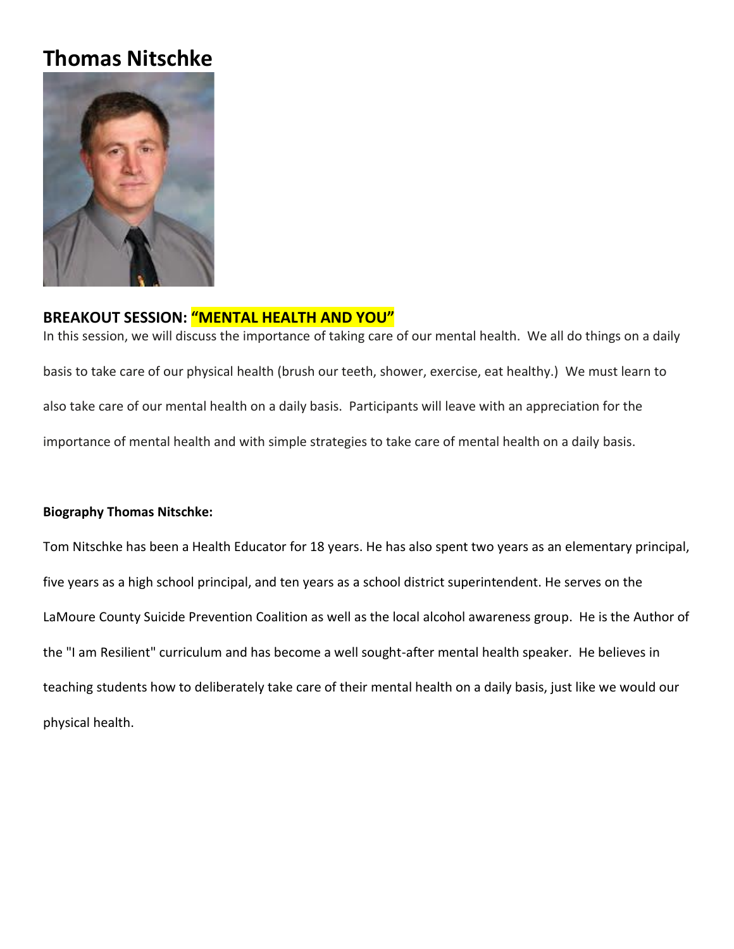# **Thomas Nitschke**



### **BREAKOUT SESSION: "MENTAL HEALTH AND YOU"**

In this session, we will discuss the importance of taking care of our mental health. We all do things on a daily basis to take care of our physical health (brush our teeth, shower, exercise, eat healthy.) We must learn to also take care of our mental health on a daily basis. Participants will leave with an appreciation for the importance of mental health and with simple strategies to take care of mental health on a daily basis.

### **Biography Thomas Nitschke:**

Tom Nitschke has been a Health Educator for 18 years. He has also spent two years as an elementary principal, five years as a high school principal, and ten years as a school district superintendent. He serves on the LaMoure County Suicide Prevention Coalition as well as the local alcohol awareness group. He is the Author of the "I am Resilient" curriculum and has become a well sought-after mental health speaker. He believes in teaching students how to deliberately take care of their mental health on a daily basis, just like we would our physical health.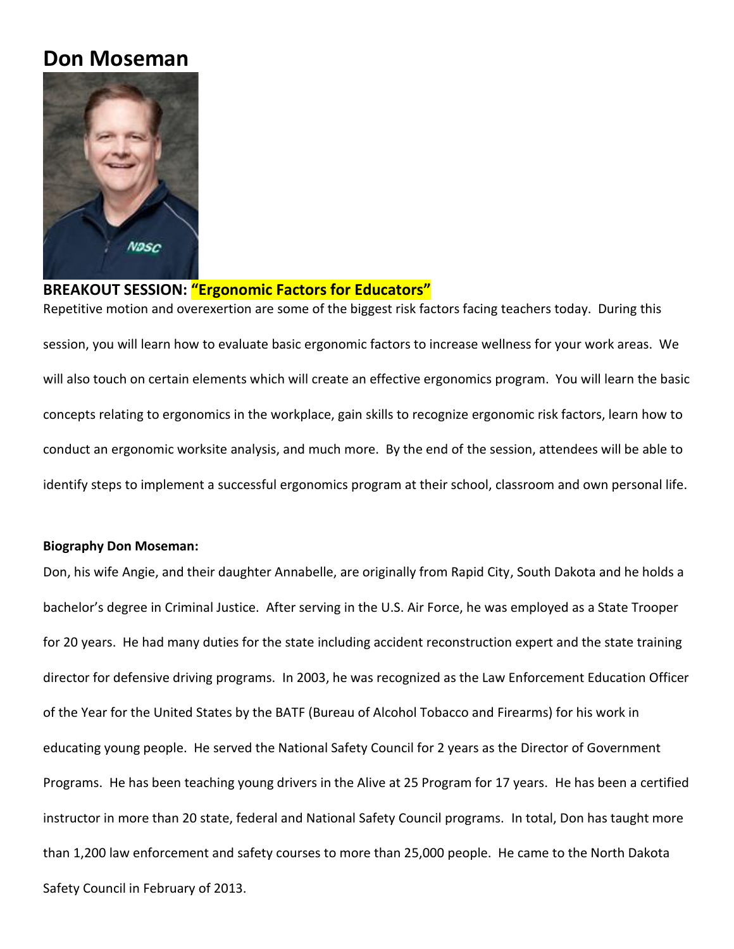# **Don Moseman**



### **BREAKOUT SESSION: "Ergonomic Factors for Educators"**

Repetitive motion and overexertion are some of the biggest risk factors facing teachers today. During this session, you will learn how to evaluate basic ergonomic factors to increase wellness for your work areas. We will also touch on certain elements which will create an effective ergonomics program. You will learn the basic concepts relating to ergonomics in the workplace, gain skills to recognize ergonomic risk factors, learn how to conduct an ergonomic worksite analysis, and much more. By the end of the session, attendees will be able to identify steps to implement a successful ergonomics program at their school, classroom and own personal life.

#### **Biography Don Moseman:**

Don, his wife Angie, and their daughter Annabelle, are originally from Rapid City, South Dakota and he holds a bachelor's degree in Criminal Justice. After serving in the U.S. Air Force, he was employed as a State Trooper for 20 years. He had many duties for the state including accident reconstruction expert and the state training director for defensive driving programs. In 2003, he was recognized as the Law Enforcement Education Officer of the Year for the United States by the BATF (Bureau of Alcohol Tobacco and Firearms) for his work in educating young people. He served the National Safety Council for 2 years as the Director of Government Programs. He has been teaching young drivers in the Alive at 25 Program for 17 years. He has been a certified instructor in more than 20 state, federal and National Safety Council programs. In total, Don has taught more than 1,200 law enforcement and safety courses to more than 25,000 people. He came to the North Dakota Safety Council in February of 2013.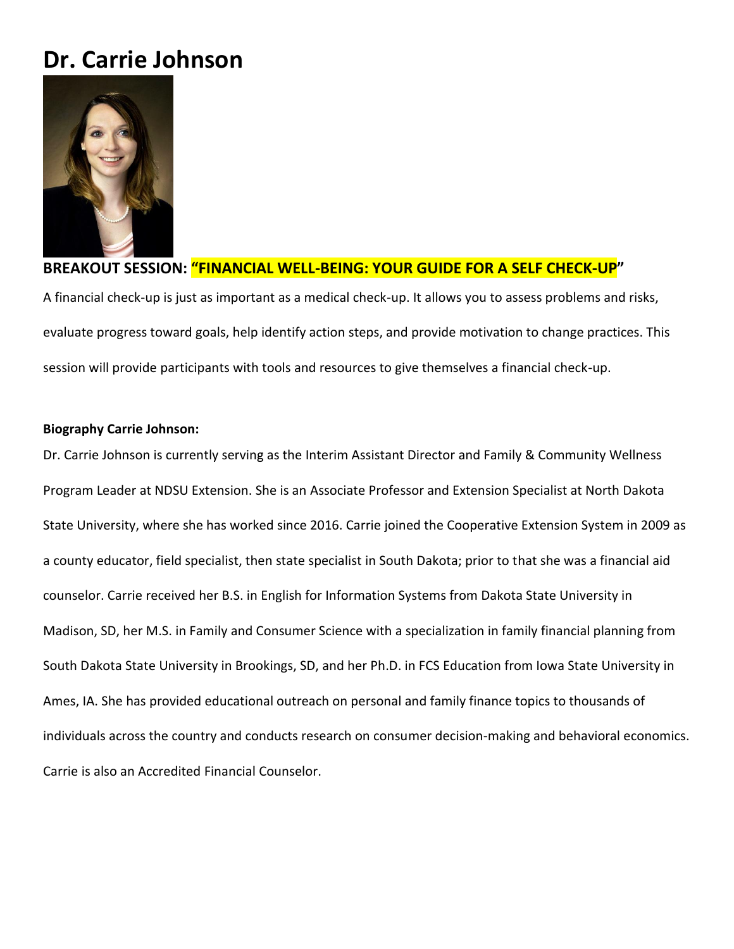# **Dr. Carrie Johnson**



# **BREAKOUT SESSION: "FINANCIAL WELL-BEING: YOUR GUIDE FOR A SELF CHECK-UP"**

A financial check-up is just as important as a medical check-up. It allows you to assess problems and risks, evaluate progress toward goals, help identify action steps, and provide motivation to change practices. This session will provide participants with tools and resources to give themselves a financial check-up.

#### **Biography Carrie Johnson:**

Dr. Carrie Johnson is currently serving as the Interim Assistant Director and Family & Community Wellness Program Leader at NDSU Extension. She is an Associate Professor and Extension Specialist at North Dakota State University, where she has worked since 2016. Carrie joined the Cooperative Extension System in 2009 as a county educator, field specialist, then state specialist in South Dakota; prior to that she was a financial aid counselor. Carrie received her B.S. in English for Information Systems from Dakota State University in Madison, SD, her M.S. in Family and Consumer Science with a specialization in family financial planning from South Dakota State University in Brookings, SD, and her Ph.D. in FCS Education from Iowa State University in Ames, IA. She has provided educational outreach on personal and family finance topics to thousands of individuals across the country and conducts research on consumer decision-making and behavioral economics. Carrie is also an Accredited Financial Counselor.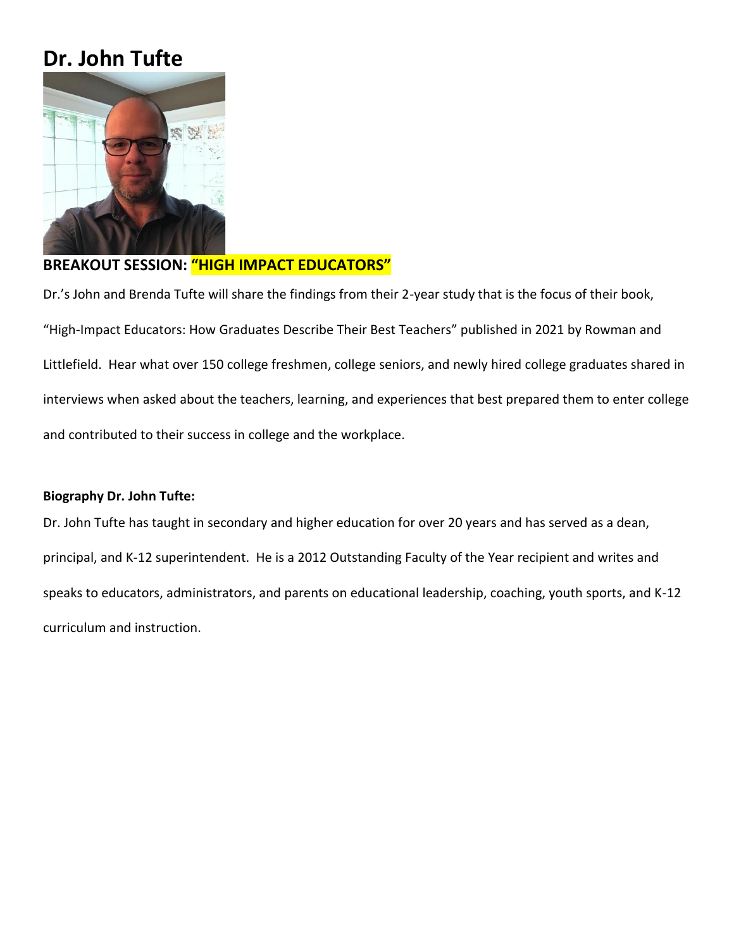# **Dr. John Tufte**



## **BREAKOUT SESSION: "HIGH IMPACT EDUCATORS"**

Dr.'s John and Brenda Tufte will share the findings from their 2-year study that is the focus of their book, "High-Impact Educators: How Graduates Describe Their Best Teachers" published in 2021 by Rowman and Littlefield. Hear what over 150 college freshmen, college seniors, and newly hired college graduates shared in interviews when asked about the teachers, learning, and experiences that best prepared them to enter college and contributed to their success in college and the workplace.

### **Biography Dr. John Tufte:**

Dr. John Tufte has taught in secondary and higher education for over 20 years and has served as a dean, principal, and K-12 superintendent. He is a 2012 Outstanding Faculty of the Year recipient and writes and speaks to educators, administrators, and parents on educational leadership, coaching, youth sports, and K-12 curriculum and instruction.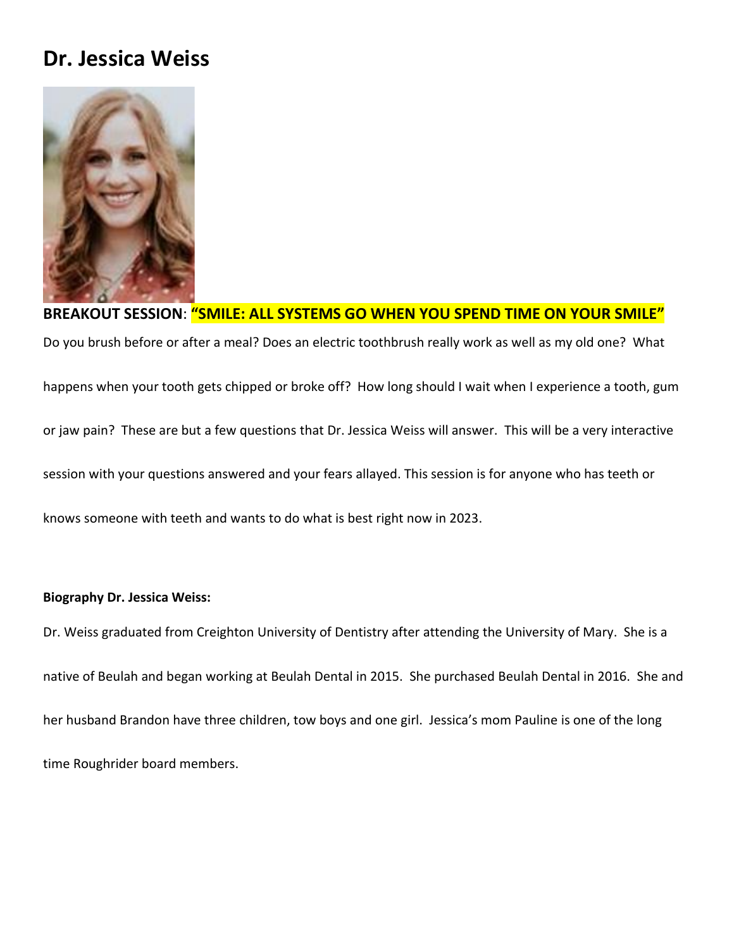# **Dr. Jessica Weiss**



# **BREAKOUT SESSION**: **"SMILE: ALL SYSTEMS GO WHEN YOU SPEND TIME ON YOUR SMILE"**

Do you brush before or after a meal? Does an electric toothbrush really work as well as my old one? What happens when your tooth gets chipped or broke off? How long should I wait when I experience a tooth, gum or jaw pain? These are but a few questions that Dr. Jessica Weiss will answer. This will be a very interactive session with your questions answered and your fears allayed. This session is for anyone who has teeth or knows someone with teeth and wants to do what is best right now in 2023.

### **Biography Dr. Jessica Weiss:**

Dr. Weiss graduated from Creighton University of Dentistry after attending the University of Mary. She is a native of Beulah and began working at Beulah Dental in 2015. She purchased Beulah Dental in 2016. She and her husband Brandon have three children, tow boys and one girl. Jessica's mom Pauline is one of the long time Roughrider board members.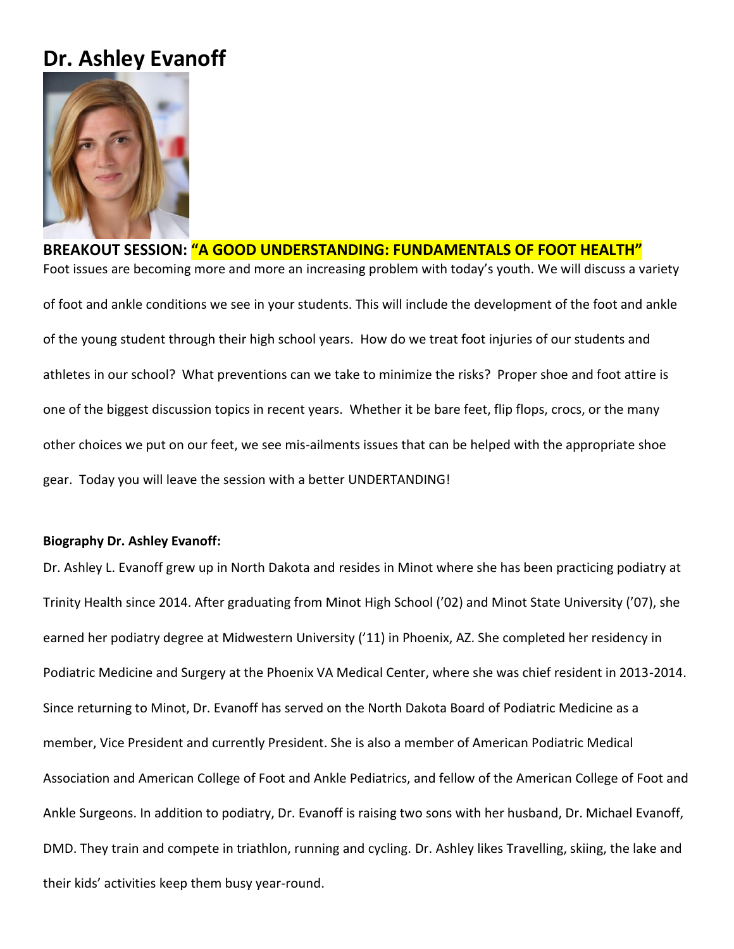# **Dr. Ashley Evanoff**



# **BREAKOUT SESSION: "A GOOD UNDERSTANDING: FUNDAMENTALS OF FOOT HEALTH"** Foot issues are becoming more and more an increasing problem with today's youth. We will discuss a variety of foot and ankle conditions we see in your students. This will include the development of the foot and ankle of the young student through their high school years. How do we treat foot injuries of our students and athletes in our school? What preventions can we take to minimize the risks? Proper shoe and foot attire is one of the biggest discussion topics in recent years. Whether it be bare feet, flip flops, crocs, or the many other choices we put on our feet, we see mis-ailments issues that can be helped with the appropriate shoe gear. Today you will leave the session with a better UNDERTANDING!

### **Biography Dr. Ashley Evanoff:**

Dr. Ashley L. Evanoff grew up in North Dakota and resides in Minot where she has been practicing podiatry at Trinity Health since 2014. After graduating from Minot High School ('02) and Minot State University ('07), she earned her podiatry degree at Midwestern University ('11) in Phoenix, AZ. She completed her residency in Podiatric Medicine and Surgery at the Phoenix VA Medical Center, where she was chief resident in 2013-2014. Since returning to Minot, Dr. Evanoff has served on the North Dakota Board of Podiatric Medicine as a member, Vice President and currently President. She is also a member of American Podiatric Medical Association and American College of Foot and Ankle Pediatrics, and fellow of the American College of Foot and Ankle Surgeons. In addition to podiatry, Dr. Evanoff is raising two sons with her husband, Dr. Michael Evanoff, DMD. They train and compete in triathlon, running and cycling. Dr. Ashley likes Travelling, skiing, the lake and their kids' activities keep them busy year-round.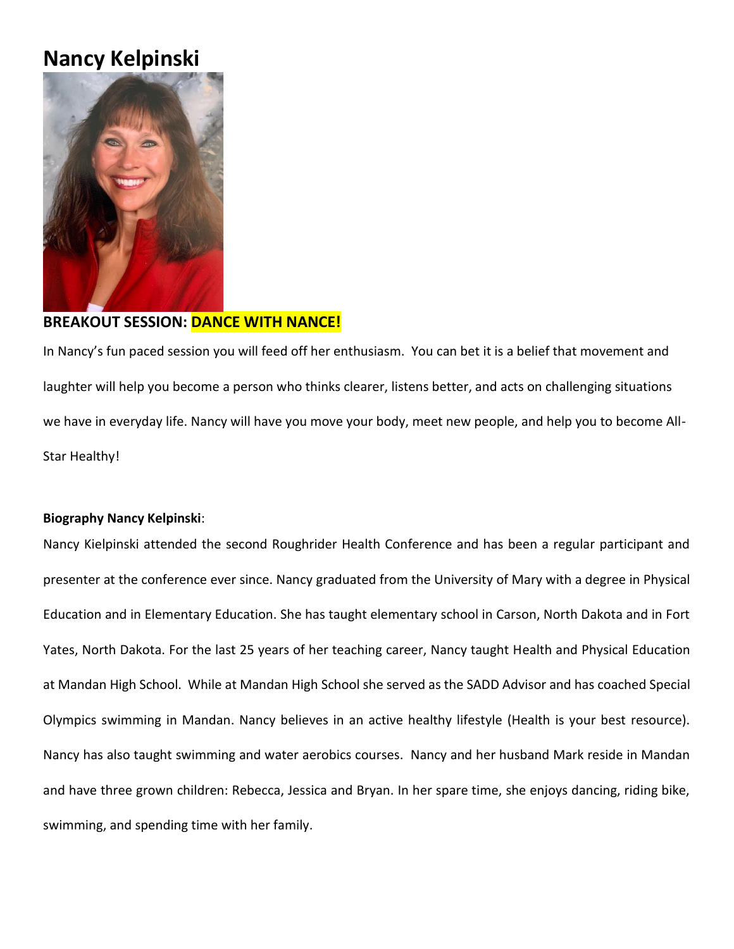# **Nancy Kelpinski**



## **BREAKOUT SESSION: DANCE WITH NANCE!**

In Nancy's fun paced session you will feed off her enthusiasm. You can bet it is a belief that movement and laughter will help you become a person who thinks clearer, listens better, and acts on challenging situations we have in everyday life. Nancy will have you move your body, meet new people, and help you to become All-Star Healthy!

### **Biography Nancy Kelpinski**:

Nancy Kielpinski attended the second Roughrider Health Conference and has been a regular participant and presenter at the conference ever since. Nancy graduated from the University of Mary with a degree in Physical Education and in Elementary Education. She has taught elementary school in Carson, North Dakota and in Fort Yates, North Dakota. For the last 25 years of her teaching career, Nancy taught Health and Physical Education at Mandan High School. While at Mandan High School she served as the SADD Advisor and has coached Special Olympics swimming in Mandan. Nancy believes in an active healthy lifestyle (Health is your best resource). Nancy has also taught swimming and water aerobics courses. Nancy and her husband Mark reside in Mandan and have three grown children: Rebecca, Jessica and Bryan. In her spare time, she enjoys dancing, riding bike, swimming, and spending time with her family.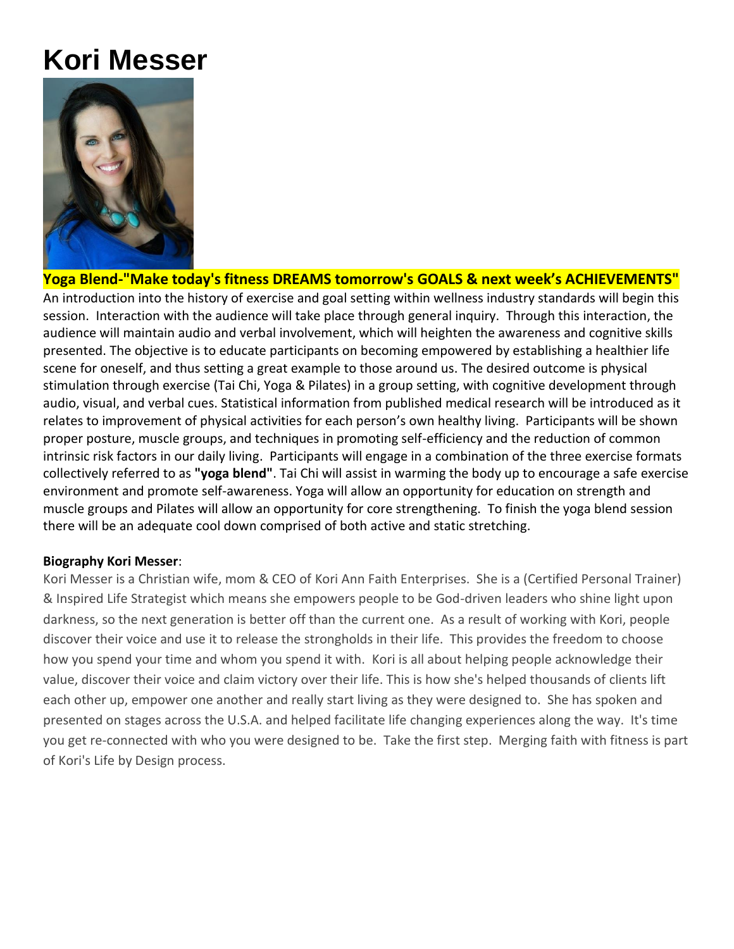# **Kori Messer**



## **Yoga Blend-"Make today's fitness DREAMS tomorrow's GOALS & next week's ACHIEVEMENTS"**

An introduction into the history of exercise and goal setting within wellness industry standards will begin this session. Interaction with the audience will take place through general inquiry. Through this interaction, the audience will maintain audio and verbal involvement, which will heighten the awareness and cognitive skills presented. The objective is to educate participants on becoming empowered by establishing a healthier life scene for oneself, and thus setting a great example to those around us. The desired outcome is physical stimulation through exercise (Tai Chi, Yoga & Pilates) in a group setting, with cognitive development through audio, visual, and verbal cues. Statistical information from published medical research will be introduced as it relates to improvement of physical activities for each person's own healthy living. Participants will be shown proper posture, muscle groups, and techniques in promoting self-efficiency and the reduction of common intrinsic risk factors in our daily living. Participants will engage in a combination of the three exercise formats collectively referred to as **"yoga blend"**. Tai Chi will assist in warming the body up to encourage a safe exercise environment and promote self-awareness. Yoga will allow an opportunity for education on strength and muscle groups and Pilates will allow an opportunity for core strengthening. To finish the yoga blend session there will be an adequate cool down comprised of both active and static stretching.

### **Biography Kori Messer**:

Kori Messer is a Christian wife, mom & CEO of Kori Ann Faith Enterprises. She is a (Certified Personal Trainer) & Inspired Life Strategist which means she empowers people to be God-driven leaders who shine light upon darkness, so the next generation is better off than the current one. As a result of working with Kori, people discover their voice and use it to release the strongholds in their life. This provides the freedom to choose how you spend your time and whom you spend it with. Kori is all about helping people acknowledge their value, discover their voice and claim victory over their life. This is how she's helped thousands of clients lift each other up, empower one another and really start living as they were designed to. She has spoken and presented on stages across the U.S.A. and helped facilitate life changing experiences along the way. It's time you get re-connected with who you were designed to be. Take the first step. Merging faith with fitness is part of Kori's Life by Design process.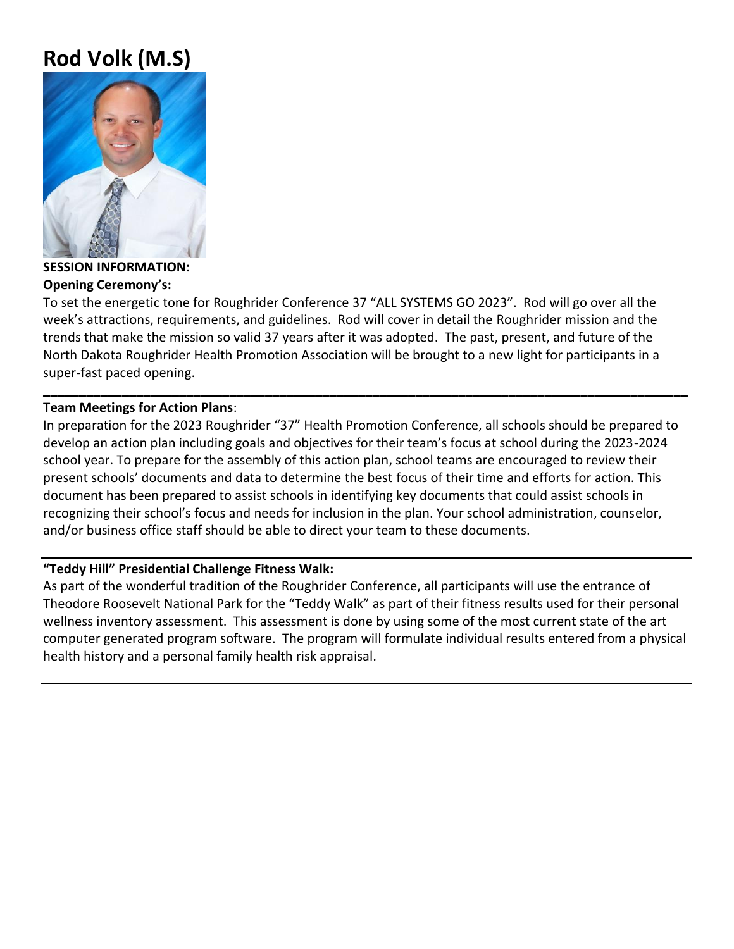# **Rod Volk (M.S)**



**SESSION INFORMATION: Opening Ceremony's:** 

To set the energetic tone for Roughrider Conference 37 "ALL SYSTEMS GO 2023". Rod will go over all the week's attractions, requirements, and guidelines. Rod will cover in detail the Roughrider mission and the trends that make the mission so valid 37 years after it was adopted. The past, present, and future of the North Dakota Roughrider Health Promotion Association will be brought to a new light for participants in a super-fast paced opening.

### **Team Meetings for Action Plans**:

In preparation for the 2023 Roughrider "37" Health Promotion Conference, all schools should be prepared to develop an action plan including goals and objectives for their team's focus at school during the 2023-2024 school year. To prepare for the assembly of this action plan, school teams are encouraged to review their present schools' documents and data to determine the best focus of their time and efforts for action. This document has been prepared to assist schools in identifying key documents that could assist schools in recognizing their school's focus and needs for inclusion in the plan. Your school administration, counselor, and/or business office staff should be able to direct your team to these documents.

**\_\_\_\_\_\_\_\_\_\_\_\_\_\_\_\_\_\_\_\_\_\_\_\_\_\_\_\_\_\_\_\_\_\_\_\_\_\_\_\_\_\_\_\_\_\_\_\_\_\_\_\_\_\_\_\_\_\_\_\_\_\_\_\_\_\_\_\_\_\_\_\_\_\_\_\_\_\_\_\_\_\_\_\_\_\_\_\_\_\_**

### **"Teddy Hill" Presidential Challenge Fitness Walk:**

As part of the wonderful tradition of the Roughrider Conference, all participants will use the entrance of Theodore Roosevelt National Park for the "Teddy Walk" as part of their fitness results used for their personal wellness inventory assessment. This assessment is done by using some of the most current state of the art computer generated program software. The program will formulate individual results entered from a physical health history and a personal family health risk appraisal.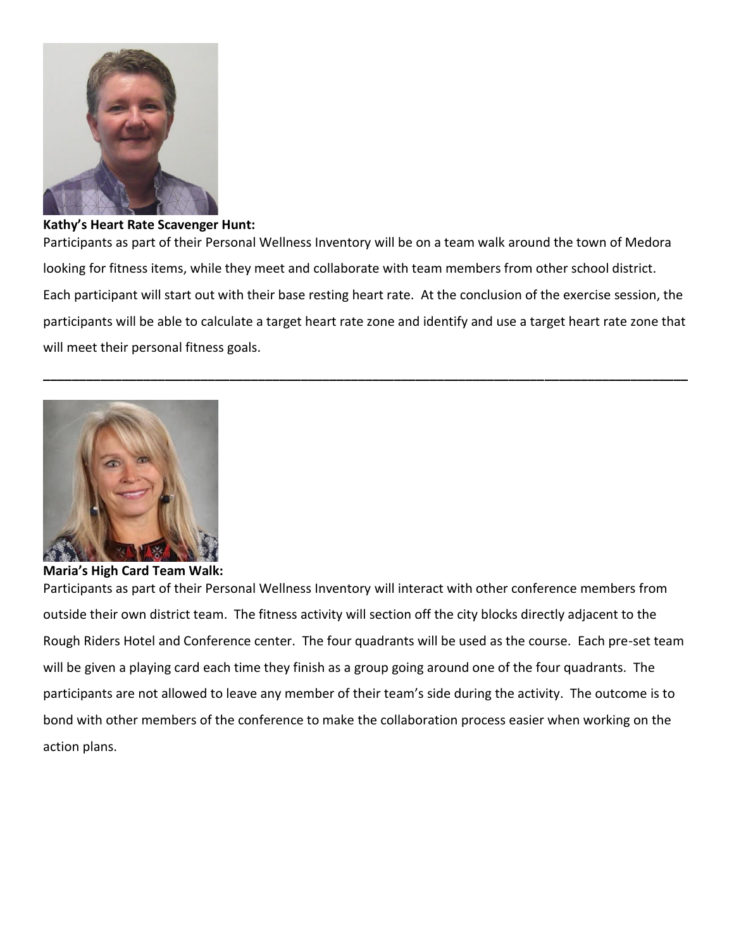

#### **Kathy's Heart Rate Scavenger Hunt:**

Participants as part of their Personal Wellness Inventory will be on a team walk around the town of Medora looking for fitness items, while they meet and collaborate with team members from other school district. Each participant will start out with their base resting heart rate. At the conclusion of the exercise session, the participants will be able to calculate a target heart rate zone and identify and use a target heart rate zone that will meet their personal fitness goals.

**\_\_\_\_\_\_\_\_\_\_\_\_\_\_\_\_\_\_\_\_\_\_\_\_\_\_\_\_\_\_\_\_\_\_\_\_\_\_\_\_\_\_\_\_\_\_\_\_\_\_\_\_\_\_\_\_\_\_\_\_\_\_\_\_\_\_\_\_\_\_\_\_\_\_\_\_\_\_\_\_\_\_\_\_\_\_\_\_\_\_**



**Maria's High Card Team Walk:** 

Participants as part of their Personal Wellness Inventory will interact with other conference members from outside their own district team. The fitness activity will section off the city blocks directly adjacent to the Rough Riders Hotel and Conference center. The four quadrants will be used as the course. Each pre-set team will be given a playing card each time they finish as a group going around one of the four quadrants. The participants are not allowed to leave any member of their team's side during the activity. The outcome is to bond with other members of the conference to make the collaboration process easier when working on the action plans.